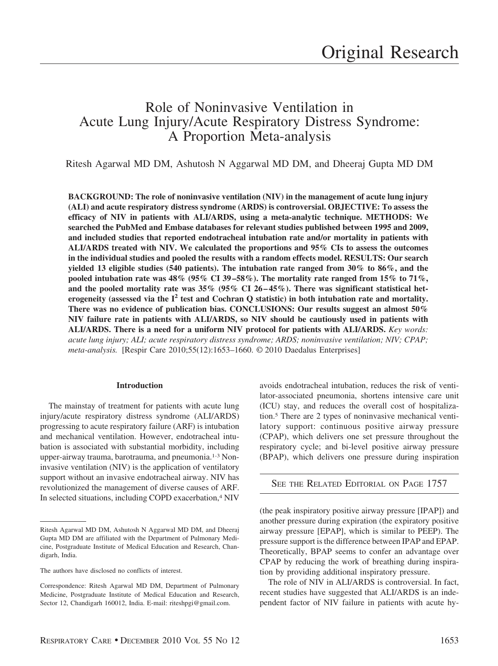# Role of Noninvasive Ventilation in Acute Lung Injury/Acute Respiratory Distress Syndrome: A Proportion Meta-analysis

Ritesh Agarwal MD DM, Ashutosh N Aggarwal MD DM, and Dheeraj Gupta MD DM

**BACKGROUND: The role of noninvasive ventilation (NIV) in the management of acute lung injury (ALI) and acute respiratory distress syndrome (ARDS) is controversial. OBJECTIVE: To assess the efficacy of NIV in patients with ALI/ARDS, using a meta-analytic technique. METHODS: We searched the PubMed and Embase databases for relevant studies published between 1995 and 2009, and included studies that reported endotracheal intubation rate and/or mortality in patients with ALI/ARDS treated with NIV. We calculated the proportions and 95% CIs to assess the outcomes in the individual studies and pooled the results with a random effects model. RESULTS: Our search yielded 13 eligible studies (540 patients). The intubation rate ranged from 30% to 86%, and the pooled intubation rate was 48% (95% CI 39 –58%). The mortality rate ranged from 15% to 71%,** and the pooled mortality rate was 35% (95% CI 26-45%). There was significant statistical heterogeneity (assessed via the  $I^2$  test and Cochran Q statistic) in both intubation rate and mortality. **There was no evidence of publication bias. CONCLUSIONS: Our results suggest an almost 50% NIV failure rate in patients with ALI/ARDS, so NIV should be cautiously used in patients with ALI/ARDS. There is a need for a uniform NIV protocol for patients with ALI/ARDS.** *Key words: acute lung injury; ALI; acute respiratory distress syndrome; ARDS; noninvasive ventilation; NIV; CPAP; meta-analysis.* [Respir Care 2010;55(12):1653–1660. © 2010 Daedalus Enterprises]

# **Introduction**

The mainstay of treatment for patients with acute lung injury/acute respiratory distress syndrome (ALI/ARDS) progressing to acute respiratory failure (ARF) is intubation and mechanical ventilation. However, endotracheal intubation is associated with substantial morbidity, including upper-airway trauma, barotrauma, and pneumonia.1-3 Noninvasive ventilation (NIV) is the application of ventilatory support without an invasive endotracheal airway. NIV has revolutionized the management of diverse causes of ARF. In selected situations, including COPD exacerbation,<sup>4</sup> NIV

avoids endotracheal intubation, reduces the risk of ventilator-associated pneumonia, shortens intensive care unit (ICU) stay, and reduces the overall cost of hospitalization.5 There are 2 types of noninvasive mechanical ventilatory support: continuous positive airway pressure (CPAP), which delivers one set pressure throughout the respiratory cycle; and bi-level positive airway pressure (BPAP), which delivers one pressure during inspiration

SEE THE RELATED EDITORIAL ON PAGE 1757

(the peak inspiratory positive airway pressure [IPAP]) and another pressure during expiration (the expiratory positive airway pressure [EPAP], which is similar to PEEP). The pressure support is the difference between IPAP and EPAP. Theoretically, BPAP seems to confer an advantage over CPAP by reducing the work of breathing during inspiration by providing additional inspiratory pressure.

The role of NIV in ALI/ARDS is controversial. In fact, recent studies have suggested that ALI/ARDS is an independent factor of NIV failure in patients with acute hy-

Ritesh Agarwal MD DM, Ashutosh N Aggarwal MD DM, and Dheeraj Gupta MD DM are affiliated with the Department of Pulmonary Medicine, Postgraduate Institute of Medical Education and Research, Chandigarh, India.

The authors have disclosed no conflicts of interest.

Correspondence: Ritesh Agarwal MD DM, Department of Pulmonary Medicine, Postgraduate Institute of Medical Education and Research, Sector 12, Chandigarh 160012, India. E-mail: riteshpgi@gmail.com.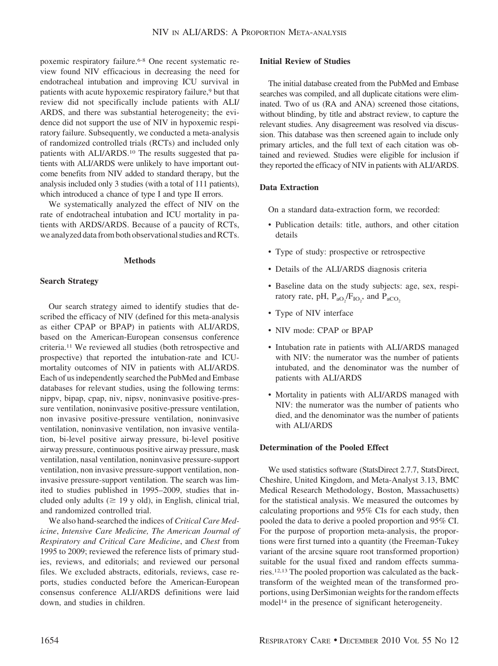poxemic respiratory failure.6-8 One recent systematic review found NIV efficacious in decreasing the need for endotracheal intubation and improving ICU survival in patients with acute hypoxemic respiratory failure,<sup>9</sup> but that review did not specifically include patients with ALI/ ARDS, and there was substantial heterogeneity; the evidence did not support the use of NIV in hypoxemic respiratory failure. Subsequently, we conducted a meta-analysis of randomized controlled trials (RCTs) and included only patients with ALI/ARDS.<sup>10</sup> The results suggested that patients with ALI/ARDS were unlikely to have important outcome benefits from NIV added to standard therapy, but the analysis included only 3 studies (with a total of 111 patients), which introduced a chance of type I and type II errors.

We systematically analyzed the effect of NIV on the rate of endotracheal intubation and ICU mortality in patients with ARDS/ARDS. Because of a paucity of RCTs, we analyzed data from both observational studies and RCTs.

# **Methods**

# **Search Strategy**

Our search strategy aimed to identify studies that described the efficacy of NIV (defined for this meta-analysis as either CPAP or BPAP) in patients with ALI/ARDS, based on the American-European consensus conference criteria.11 We reviewed all studies (both retrospective and prospective) that reported the intubation-rate and ICUmortality outcomes of NIV in patients with ALI/ARDS. Each of us independently searched the PubMed and Embase databases for relevant studies, using the following terms: nippv, bipap, cpap, niv, nipsv, noninvasive positive-pressure ventilation, noninvasive positive-pressure ventilation, non invasive positive-pressure ventilation, noninvasive ventilation, noninvasive ventilation, non invasive ventilation, bi-level positive airway pressure, bi-level positive airway pressure, continuous positive airway pressure, mask ventilation, nasal ventilation, noninvasive pressure-support ventilation, non invasive pressure-support ventilation, noninvasive pressure-support ventilation. The search was limited to studies published in 1995–2009, studies that included only adults ( $\geq$  19 y old), in English, clinical trial, and randomized controlled trial.

We also hand-searched the indices of *Critical Care Medicine*, *Intensive Care Medicine, The American Journal of Respiratory and Critical Care Medicine*, and *Chest* from 1995 to 2009; reviewed the reference lists of primary studies, reviews, and editorials; and reviewed our personal files. We excluded abstracts, editorials, reviews, case reports, studies conducted before the American-European consensus conference ALI/ARDS definitions were laid down, and studies in children.

#### **Initial Review of Studies**

The initial database created from the PubMed and Embase searches was compiled, and all duplicate citations were eliminated. Two of us (RA and ANA) screened those citations, without blinding, by title and abstract review, to capture the relevant studies. Any disagreement was resolved via discussion. This database was then screened again to include only primary articles, and the full text of each citation was obtained and reviewed. Studies were eligible for inclusion if they reported the efficacy of NIV in patients with ALI/ARDS.

# **Data Extraction**

On a standard data-extraction form, we recorded:

- Publication details: title, authors, and other citation details
- Type of study: prospective or retrospective
- Details of the ALI/ARDS diagnosis criteria
- Baseline data on the study subjects: age, sex, respiratory rate, pH,  $P_{aO_2}/F_{IO_2}$ , and  $P_{aCO_2}$
- Type of NIV interface
- NIV mode: CPAP or BPAP
- Intubation rate in patients with ALI/ARDS managed with NIV: the numerator was the number of patients intubated, and the denominator was the number of patients with ALI/ARDS
- Mortality in patients with ALI/ARDS managed with NIV: the numerator was the number of patients who died, and the denominator was the number of patients with ALI/ARDS

### **Determination of the Pooled Effect**

We used statistics software (StatsDirect 2.7.7, StatsDirect, Cheshire, United Kingdom, and Meta-Analyst 3.13, BMC Medical Research Methodology, Boston, Massachusetts) for the statistical analysis. We measured the outcomes by calculating proportions and 95% CIs for each study, then pooled the data to derive a pooled proportion and 95% CI. For the purpose of proportion meta-analysis, the proportions were first turned into a quantity (the Freeman-Tukey variant of the arcsine square root transformed proportion) suitable for the usual fixed and random effects summaries.12,13 The pooled proportion was calculated as the backtransform of the weighted mean of the transformed proportions, using DerSimonian weights for the random effects model<sup>14</sup> in the presence of significant heterogeneity.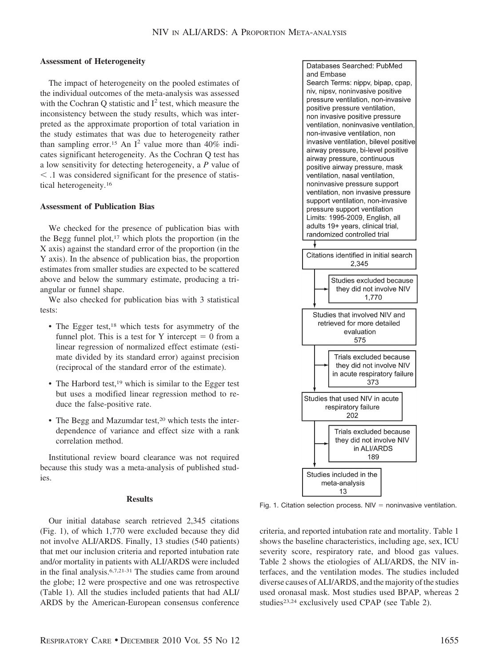#### **Assessment of Heterogeneity**

The impact of heterogeneity on the pooled estimates of the individual outcomes of the meta-analysis was assessed with the Cochran Q statistic and  $I^2$  test, which measure the inconsistency between the study results, which was interpreted as the approximate proportion of total variation in the study estimates that was due to heterogeneity rather than sampling error.<sup>15</sup> An  $I^2$  value more than 40% indicates significant heterogeneity. As the Cochran Q test has a low sensitivity for detecting heterogeneity, a *P* value of  $\leq$  .1 was considered significant for the presence of statistical heterogeneity.16

#### **Assessment of Publication Bias**

We checked for the presence of publication bias with the Begg funnel plot, $17$  which plots the proportion (in the X axis) against the standard error of the proportion (in the Y axis). In the absence of publication bias, the proportion estimates from smaller studies are expected to be scattered above and below the summary estimate, producing a triangular or funnel shape.

We also checked for publication bias with 3 statistical tests:

- The Egger test,<sup>18</sup> which tests for asymmetry of the funnel plot. This is a test for Y intercept  $= 0$  from a linear regression of normalized effect estimate (estimate divided by its standard error) against precision (reciprocal of the standard error of the estimate).
- The Harbord test,<sup>19</sup> which is similar to the Egger test but uses a modified linear regression method to reduce the false-positive rate.
- The Begg and Mazumdar test,<sup>20</sup> which tests the interdependence of variance and effect size with a rank correlation method.

Institutional review board clearance was not required because this study was a meta-analysis of published studies.

### **Results**

Our initial database search retrieved 2,345 citations (Fig. 1), of which 1,770 were excluded because they did not involve ALI/ARDS. Finally, 13 studies (540 patients) that met our inclusion criteria and reported intubation rate and/or mortality in patients with ALI/ARDS were included in the final analysis.6,7,21-31 The studies came from around the globe; 12 were prospective and one was retrospective (Table 1). All the studies included patients that had ALI/ ARDS by the American-European consensus conference





Fig. 1. Citation selection process.  $N/V =$  noninvasive ventilation.

criteria, and reported intubation rate and mortality. Table 1 shows the baseline characteristics, including age, sex, ICU severity score, respiratory rate, and blood gas values. Table 2 shows the etiologies of ALI/ARDS, the NIV interfaces, and the ventilation modes. The studies included diverse causes of ALI/ARDS, and the majority of the studies used oronasal mask. Most studies used BPAP, whereas 2 studies<sup>23,24</sup> exclusively used CPAP (see Table 2).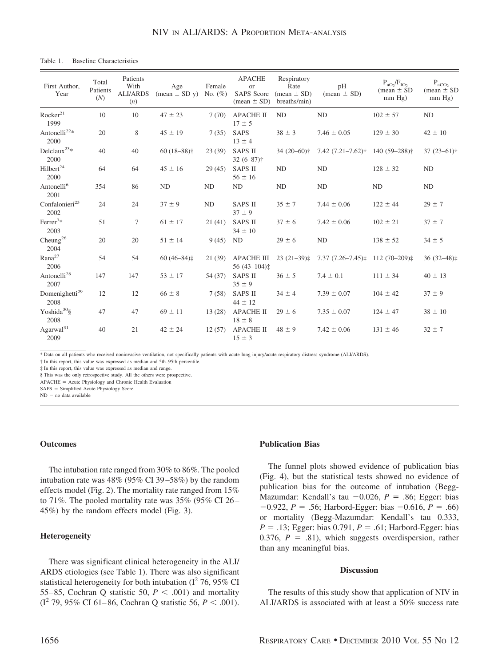#### Table 1. Baseline Characteristics

| First Author,<br>Year              | Total<br>Patients<br>(N) | Patients<br>With<br><b>ALI/ARDS</b><br>(n) | Age<br>$(\text{mean} \pm \text{SD y})$ | Female<br>No. $(\%)$ | <b>APACHE</b><br>or<br><b>SAPS</b> Score<br>$mean \pm SD$ | Respiratory<br>Rate<br>$mean \pm SD$<br>breaths/min) | pH<br>$mean \pm SD$                                    | $P_{aO}$ , $/ F_{IO}$<br>$mean \pm SD$<br>mm Hg) | $P_{aCO2}$<br>(mean $\pm$ SD<br>mm Hg) |
|------------------------------------|--------------------------|--------------------------------------------|----------------------------------------|----------------------|-----------------------------------------------------------|------------------------------------------------------|--------------------------------------------------------|--------------------------------------------------|----------------------------------------|
| Rocker <sup>21</sup><br>1999       | 10                       | 10                                         | $47 \pm 23$                            | 7(70)                | <b>APACHE II</b><br>$17 \pm 5$                            | ND                                                   | <b>ND</b>                                              | $102 \pm 57$                                     | ND                                     |
| Antonelli <sup>22*</sup><br>2000   | 20                       | 8                                          | $45 \pm 19$                            | 7(35)                | <b>SAPS</b><br>$13 \pm 4$                                 | $38 \pm 3$                                           | $7.46 \pm 0.05$                                        | $129 \pm 30$                                     | $42 \pm 10$                            |
| Delclaux <sup>23*</sup><br>2000    | 40                       | 40                                         | $60(18-88)$ †                          | 23(39)               | <b>SAPS II</b><br>$32(6-87)$ †                            |                                                      | 34 (20-60)† 7.42 (7.21-7.62)† 140 (59-288)†            |                                                  | $37(23-61)$ †                          |
| Hilbert <sup>24</sup><br>2000      | 64                       | 64                                         | $45 \pm 16$                            | 29(45)               | <b>SAPS II</b><br>$56 \pm 16$                             | ND                                                   | ND                                                     | $128 \pm 32$                                     | ND                                     |
| Antonelli <sup>6</sup><br>2001     | 354                      | 86                                         | ND                                     | ND                   | $\rm ND$                                                  | $\rm ND$                                             | ND                                                     | ND                                               | ND                                     |
| Confalonieri <sup>25</sup><br>2002 | 24                       | 24                                         | $37 \pm 9$                             | <b>ND</b>            | <b>SAPS II</b><br>$37 \pm 9$                              | $35 \pm 7$                                           | $7.44 \pm 0.06$                                        | $122 \pm 44$                                     | $29 \pm 7$                             |
| Ferrer <sup>7*</sup><br>2003       | 51                       | $\tau$                                     | $61 \pm 17$                            | 21(41)               | <b>SAPS II</b><br>$34 \pm 10$                             | $37 \pm 6$                                           | $7.42 \pm 0.06$                                        | $102 \pm 21$                                     | $37 \pm 7$                             |
| Cheung <sup>26</sup><br>2004       | 20                       | 20                                         | $51 \pm 14$                            | 9(45)                | ND                                                        | $29 \pm 6$                                           | ND                                                     | $138 \pm 52$                                     | $34 \pm 5$                             |
| Rana <sup>27</sup><br>2006         | 54                       | 54                                         | $60(46-84)$                            | 21 (39)              | <b>APACHE III</b><br>56 $(43-104)$ ‡                      |                                                      | $23(21-39)$ $7.37(7.26-7.45)$ $112(70-209)$ $\ddagger$ |                                                  | $36(32-48)$ :                          |
| Antonelli <sup>28</sup><br>2007    | 147                      | 147                                        | $53 \pm 17$                            | 54 (37)              | <b>SAPS II</b><br>$35 \pm 9$                              | $36 \pm 5$                                           | $7.4 \pm 0.1$                                          | $111 \pm 34$                                     | $40 \pm 13$                            |
| Domenighetti <sup>29</sup><br>2008 | 12                       | 12                                         | $66 \pm 8$                             | 7(58)                | <b>SAPS II</b><br>$44 \pm 12$                             | $34 \pm 4$                                           | $7.39 \pm 0.07$                                        | $104 \pm 42$                                     | $37 \pm 9$                             |
| Yoshida <sup>30</sup> §<br>2008    | 47                       | 47                                         | $69 \pm 11$                            | 13(28)               | <b>APACHE II</b><br>$18 \pm 8$                            | $29 \pm 6$                                           | $7.35 \pm 0.07$                                        | $124 \pm 47$                                     | $38 \pm 10$                            |
| Agarwal <sup>31</sup><br>2009      | 40                       | 21                                         | $42 \pm 24$                            | 12(57)               | <b>APACHE II</b><br>$15 \pm 3$                            | $48 \pm 9$                                           | $7.42 \pm 0.06$                                        | $131 \pm 46$                                     | $32 \pm 7$                             |

\* Data on all patients who received noninvasive ventilation, not specifically patients with acute lung injury/acute respiratory distress syndrome (ALI/ARDS).

† In this report, this value was expressed as median and 5th–95th percentile.

‡ In this report, this value was expressed as median and range.

§ This was the only retrospective study. All the others were prospective.

APACHE = Acute Physiology and Chronic Health Evaluation

SAPS = Simplified Acute Physiology Score

 $ND = no$  data available

# **Outcomes**

The intubation rate ranged from 30% to 86%. The pooled intubation rate was 48% (95% CI 39 –58%) by the random effects model (Fig. 2). The mortality rate ranged from 15% to 71%. The pooled mortality rate was 35% (95% CI 26– 45%) by the random effects model (Fig. 3).

#### **Heterogeneity**

There was significant clinical heterogeneity in the ALI/ ARDS etiologies (see Table 1). There was also significant statistical heterogeneity for both intubation ( $I^2$  76, 95% CI 55–85, Cochran Q statistic 50,  $P < .001$ ) and mortality  $(I^2 79, 95\% \text{ CI } 61-86, \text{ Cochran } Q \text{ statistic } 56, P < .001).$ 

# **Publication Bias**

The funnel plots showed evidence of publication bias (Fig. 4), but the statistical tests showed no evidence of publication bias for the outcome of intubation (Begg-Mazumdar: Kendall's tau  $-0.026$ ,  $P = .86$ ; Egger: bias  $-0.922$ , *P* = .56; Harbord-Egger: bias  $-0.616$ , *P* = .66) or mortality (Begg-Mazumdar: Kendall's tau 0.333,  $P = .13$ ; Egger: bias 0.791,  $P = .61$ ; Harbord-Egger: bias 0.376,  $P = .81$ ), which suggests overdispersion, rather than any meaningful bias.

#### **Discussion**

The results of this study show that application of NIV in ALI/ARDS is associated with at least a 50% success rate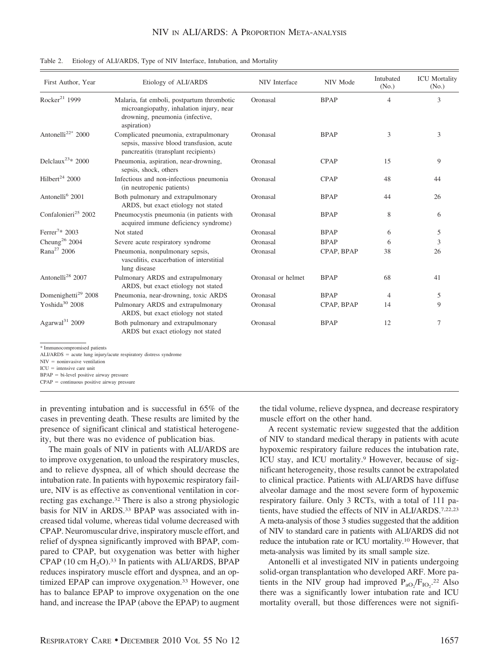| First Author, Year                    | Etiology of ALI/ARDS                                                                                                                     | NIV Interface      | NIV Mode    | Intubated<br>(No.) | <b>ICU</b> Mortality<br>(N <sub>0</sub> ) |
|---------------------------------------|------------------------------------------------------------------------------------------------------------------------------------------|--------------------|-------------|--------------------|-------------------------------------------|
| Rocker <sup>21</sup> 1999             | Malaria, fat emboli, postpartum thrombotic<br>microangiopathy, inhalation injury, near<br>drowning, pneumonia (infective,<br>aspiration) | Oronasal           | <b>BPAP</b> | 4                  | 3                                         |
| Antonelli <sup>22*</sup> 2000         | Complicated pneumonia, extrapulmonary<br>sepsis, massive blood transfusion, acute<br>pancreatitis (transplant recipients)                | Oronasal           | <b>BPAP</b> | 3                  | 3                                         |
| Delclaux <sup>23</sup> * 2000         | Pneumonia, aspiration, near-drowning,<br>sepsis, shock, others                                                                           | Oronasal           | <b>CPAP</b> | 15                 | 9                                         |
| Hilbert <sup>24</sup> 2000            | Infectious and non-infectious pneumonia<br>(in neutropenic patients)                                                                     | Oronasal           | <b>CPAP</b> | 48                 | 44                                        |
| Antonelli <sup>6</sup> 2001           | Both pulmonary and extrapulmonary<br>ARDS, but exact etiology not stated                                                                 | Oronasal           | <b>BPAP</b> | 44                 | 26                                        |
| Confalonieri <sup>25</sup> 2002       | Pneumocystis pneumonia (in patients with<br>acquired immune deficiency syndrome)                                                         | Oronasal           | <b>BPAP</b> | 8                  | 6                                         |
| Ferrer <sup>7*</sup> 2003             | Not stated                                                                                                                               | Oronasal           | <b>BPAP</b> | 6                  | 5                                         |
| Cheung <sup>26</sup> 2004             | Severe acute respiratory syndrome                                                                                                        | Oronasal           | <b>BPAP</b> | 6                  | 3                                         |
| Rana <sup>27</sup> 2006               | Pneumonia, nonpulmonary sepsis,<br>vasculitis, exacerbation of interstitial<br>lung disease                                              | Oronasal           | CPAP, BPAP  | 38                 | 26                                        |
| Antonelli <sup>28</sup> 2007          | Pulmonary ARDS and extrapulmonary<br>ARDS, but exact etiology not stated                                                                 | Oronasal or helmet | <b>BPAP</b> | 68                 | 41                                        |
| Domenighetti <sup>29</sup> 2008       | Pneumonia, near-drowning, toxic ARDS                                                                                                     | Oronasal           | <b>BPAP</b> | $\overline{4}$     | 5                                         |
| Yoshida <sup>30</sup> 2008            | Pulmonary ARDS and extrapulmonary<br>ARDS, but exact etiology not stated                                                                 | Oronasal           | CPAP, BPAP  | 14                 | 9                                         |
| Agarwal <sup>31</sup> 2009            | Both pulmonary and extrapulmonary<br>ARDS but exact etiology not stated                                                                  | Oronasal           | <b>BPAP</b> | 12                 | 7                                         |
| <b>* London announced and anti-un</b> |                                                                                                                                          |                    |             |                    |                                           |

| Table 2. |  |  | Etiology of ALI/ARDS, Type of NIV Interface, Intubation, and Mortality |  |  |  |  |
|----------|--|--|------------------------------------------------------------------------|--|--|--|--|
|----------|--|--|------------------------------------------------------------------------|--|--|--|--|

\* Immunocompromised patients

ALI/ARDS = acute lung injury/acute respiratory distress syndrome

 $NIV =$  noninvasive ventilation

 $ICU =$  intensive care unit

 $BPAP = bi-level positive airway pressure$ 

 $CPAP =$  continuous positive airway pressure

in preventing intubation and is successful in 65% of the cases in preventing death. These results are limited by the presence of significant clinical and statistical heterogeneity, but there was no evidence of publication bias.

The main goals of NIV in patients with ALI/ARDS are to improve oxygenation, to unload the respiratory muscles, and to relieve dyspnea, all of which should decrease the intubation rate. In patients with hypoxemic respiratory failure, NIV is as effective as conventional ventilation in correcting gas exchange.32 There is also a strong physiologic basis for NIV in ARDS.<sup>33</sup> BPAP was associated with increased tidal volume, whereas tidal volume decreased with CPAP. Neuromuscular drive, inspiratory muscle effort, and relief of dyspnea significantly improved with BPAP, compared to CPAP, but oxygenation was better with higher CPAP (10 cm  $H_2O$ ).<sup>33</sup> In patients with ALI/ARDS, BPAP reduces inspiratory muscle effort and dyspnea, and an optimized EPAP can improve oxygenation.<sup>33</sup> However, one has to balance EPAP to improve oxygenation on the one hand, and increase the IPAP (above the EPAP) to augment the tidal volume, relieve dyspnea, and decrease respiratory muscle effort on the other hand.

A recent systematic review suggested that the addition of NIV to standard medical therapy in patients with acute hypoxemic respiratory failure reduces the intubation rate, ICU stay, and ICU mortality.9 However, because of significant heterogeneity, those results cannot be extrapolated to clinical practice. Patients with ALI/ARDS have diffuse alveolar damage and the most severe form of hypoxemic respiratory failure. Only 3 RCTs, with a total of 111 patients, have studied the effects of NIV in ALI/ARDS.7,22,23 A meta-analysis of those 3 studies suggested that the addition of NIV to standard care in patients with ALI/ARDS did not reduce the intubation rate or ICU mortality.10 However, that meta-analysis was limited by its small sample size.

Antonelli et al investigated NIV in patients undergoing solid-organ transplantation who developed ARF. More patients in the NIV group had improved  $P_{aO_2}/F_{IO_2}$ <sup>22</sup> Also there was a significantly lower intubation rate and ICU mortality overall, but those differences were not signifi-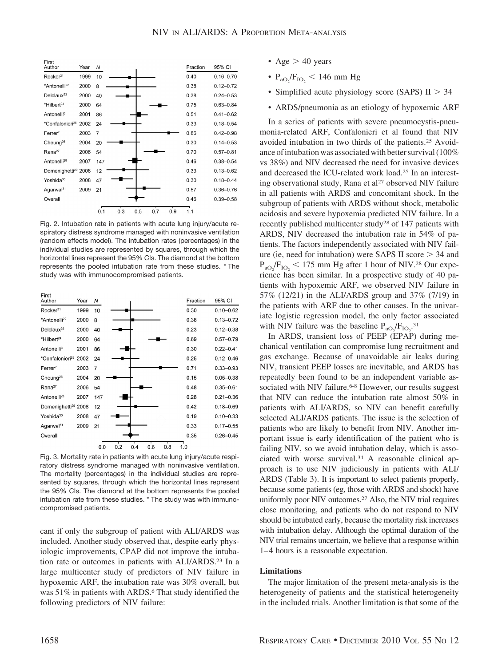

Fig. 2. Intubation rate in patients with acute lung injury/acute respiratory distress syndrome managed with noninvasive ventilation (random effects model). The intubation rates (percentages) in the individual studies are represented by squares, through which the horizontal lines represent the 95% CIs. The diamond at the bottom represents the pooled intubation rate from these studies. \* The study was with immunocompromised patients.



Fig. 3. Mortality rate in patients with acute lung injury/acute respiratory distress syndrome managed with noninvasive ventilation. The mortality (percentages) in the individual studies are represented by squares, through which the horizontal lines represent the 95% CIs. The diamond at the bottom represents the pooled intubation rate from these studies. \* The study was with immunocompromised patients.

cant if only the subgroup of patient with ALI/ARDS was included. Another study observed that, despite early physiologic improvements, CPAP did not improve the intubation rate or outcomes in patients with ALI/ARDS.23 In a large multicenter study of predictors of NIV failure in hypoxemic ARF, the intubation rate was 30% overall, but was 51% in patients with ARDS.<sup>6</sup> That study identified the following predictors of NIV failure:

- Age  $> 40$  years
- $P_{aO_2}/F_{IO_2}$  < 146 mm Hg
- Simplified acute physiology score (SAPS)  $II > 34$
- ARDS/pneumonia as an etiology of hypoxemic ARF

In a series of patients with severe pneumocystis-pneumonia-related ARF, Confalonieri et al found that NIV avoided intubation in two thirds of the patients.25 Avoidance of intubation was associated with better survival (100%) vs 38%) and NIV decreased the need for invasive devices and decreased the ICU-related work load.25 In an interesting observational study, Rana et al<sup>27</sup> observed NIV failure in all patients with ARDS and concomitant shock. In the subgroup of patients with ARDS without shock, metabolic acidosis and severe hypoxemia predicted NIV failure. In a recently published multicenter study28 of 147 patients with ARDS, NIV decreased the intubation rate in 54% of patients. The factors independently associated with NIV failure (ie, need for intubation) were SAPS II score  $> 34$  and  $P_{aO_2}/F_{IO_2}$  < 175 mm Hg after 1 hour of NIV.<sup>28</sup> Our experience has been similar. In a prospective study of 40 patients with hypoxemic ARF, we observed NIV failure in 57% (12/21) in the ALI/ARDS group and 37% (7/19) in the patients with ARF due to other causes. In the univariate logistic regression model, the only factor associated with NIV failure was the baseline  $P_{aO_2}/F_{IO_2}$ <sup>31</sup>

In ARDS, transient loss of PEEP (EPAP) during mechanical ventilation can compromise lung recruitment and gas exchange. Because of unavoidable air leaks during NIV, transient PEEP losses are inevitable, and ARDS has repeatedly been found to be an independent variable associated with NIV failure.<sup>6-8</sup> However, our results suggest that NIV can reduce the intubation rate almost 50% in patients with ALI/ARDS, so NIV can benefit carefully selected ALI/ARDS patients. The issue is the selection of patients who are likely to benefit from NIV. Another important issue is early identification of the patient who is failing NIV, so we avoid intubation delay, which is associated with worse survival.34 A reasonable clinical approach is to use NIV judiciously in patients with ALI/ ARDS (Table 3). It is important to select patients properly, because some patients (eg, those with ARDS and shock) have uniformly poor NIV outcomes.27 Also, the NIV trial requires close monitoring, and patients who do not respond to NIV should be intubated early, because the mortality risk increases with intubation delay. Although the optimal duration of the NIV trial remains uncertain, we believe that a response within 1– 4 hours is a reasonable expectation.

#### **Limitations**

The major limitation of the present meta-analysis is the heterogeneity of patients and the statistical heterogeneity in the included trials. Another limitation is that some of the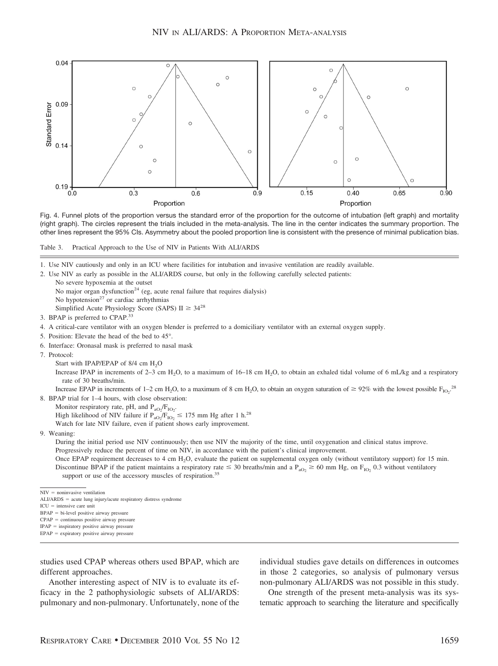

Fig. 4. Funnel plots of the proportion versus the standard error of the proportion for the outcome of intubation (left graph) and mortality (right graph). The circles represent the trials included in the meta-analysis. The line in the center indicates the summary proportion. The other lines represent the 95% CIs. Asymmetry about the pooled proportion line is consistent with the presence of minimal publication bias.



- 1. Use NIV cautiously and only in an ICU where facilities for intubation and invasive ventilation are readily available.
- 2. Use NIV as early as possible in the ALI/ARDS course, but only in the following carefully selected patients:
	- No severe hypoxemia at the outset

No major organ dysfunction<sup>24</sup> (eg, acute renal failure that requires dialysis)

No hypotension<sup>27</sup> or cardiac arrhythmias

Simplified Acute Physiology Score (SAPS) II  $\geq 34^{28}$ 

- 3. BPAP is preferred to CPAP.<sup>33</sup>
- 4. A critical-care ventilator with an oxygen blender is preferred to a domiciliary ventilator with an external oxygen supply.
- 5. Position: Elevate the head of the bed to 45°.
- 6. Interface: Oronasal mask is preferred to nasal mask
- 7. Protocol:

Start with IPAP/EPAP of  $8/4$  cm  $H<sub>2</sub>O$ 

Increase IPAP in increments of 2–3 cm H<sub>2</sub>O, to a maximum of 16–18 cm H<sub>2</sub>O, to obtain an exhaled tidal volume of 6 mL/kg and a respiratory rate of 30 breaths/min.

Increase EPAP in increments of 1–2 cm H<sub>2</sub>O, to a maximum of 8 cm H<sub>2</sub>O, to obtain an oxygen saturation of  $\geq 92\%$  with the lowest possible F<sub>IO<sub>2</sub></sub>.<sup>28</sup>

8. BPAP trial for 1–4 hours, with close observation:

Monitor respiratory rate, pH, and  $P_{aO_2}/F_{IO_2}$ . High likelihood of NIV failure if  $P_{aO_2}/F_{1O_2} \le 175$  mm Hg after 1 h.<sup>28</sup>

Watch for late NIV failure, even if patient shows early improvement.

9. Weaning:

During the initial period use NIV continuously; then use NIV the majority of the time, until oxygenation and clinical status improve. Progressively reduce the percent of time on NIV, in accordance with the patient's clinical improvement.

Once EPAP requirement decreases to 4 cm H<sub>2</sub>O, evaluate the patient on supplemental oxygen only (without ventilatory support) for 15 min. Discontinue BPAP if the patient maintains a respiratory rate  $\leq$  30 breaths/min and a  $P_{aO_2} \geq 60$  mm Hg, on  $F_{1O_2}$  0.3 without ventilatory support or use of the accessory muscles of respiration.<sup>35</sup>

studies used CPAP whereas others used BPAP, which are different approaches.

Another interesting aspect of NIV is to evaluate its efficacy in the 2 pathophysiologic subsets of ALI/ARDS: pulmonary and non-pulmonary. Unfortunately, none of the

individual studies gave details on differences in outcomes in those 2 categories, so analysis of pulmonary versus non-pulmonary ALI/ARDS was not possible in this study.

One strength of the present meta-analysis was its systematic approach to searching the literature and specifically

 $NIV =$  noninvasive ventilation

ALI/ARDS = acute lung injury/acute respiratory distress syndrome

 $ICU =$  intensive care unit

 $BPAP = bi-level positive airway pressure$ 

 $CPAP =$  continuous positive airway pressure

IPAP = inspiratory positive airway pressure

 $EPAP =$  expiratory positive airway pressure